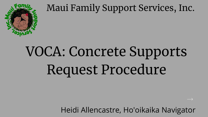

### Maui Family Support Services, Inc.

# VOCA: Concrete Supports Request Procedure

Heidi Allencastre, Ho'oikaika Navigator

 $\longrightarrow$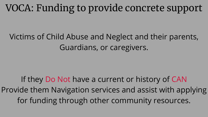### Victims of Child Abuse and Neglect and their parents, Guardians, or caregivers.

If they Do Not have a current or history of CAN Provide them Navigation services and assist with applying for funding through other community resources.

# VOCA: Funding to provide concrete support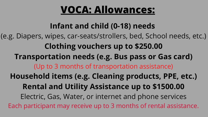## **VOCA: Allowances:**

- **Infant and child (0-18) needs**
- (e.g. Diapers, wipes, car-seats/strollers, bed, School needs, etc.)
	- **Clothing vouchers up to \$250.00**
	- **Transportation needs (e.g. Bus pass or Gas card)**
		- (Up to 3 months of transportation assistance)
	- **Household items (e.g. Cleaning products, PPE, etc.)**
		- **Rental and Utility Assistance up to \$1500.00**
		- Electric, Gas, Water, or internet and phone services
	- Each participant may receive up to 3 months of rental assistance.

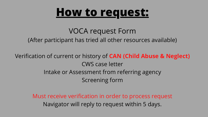# **How to request:**

- VOCA request Form
- (After participant has tried all other resources available)
- Verification of current or history of **CAN (Child Abuse & Neglect)** CWS case letter Intake or Assessment from referring agency Screening form
	- Must receive verification in order to process request Navigator will reply to request within 5 days.

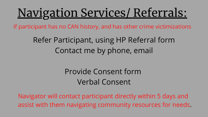# Navigation Services/ Referrals:

If participant has no CAN history, and has other crime victimizations

- Refer Participant, using HP Referral form Contact me by phone, email
	- Provide Consent form Verbal Consent
- Navigator will contact participant directly within 5 days and assist with them navigating community resources for needs.